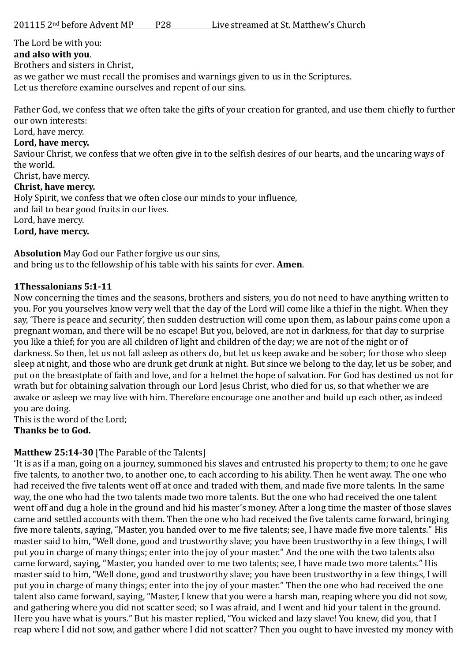The Lord be with you:

#### **and also with you**.

Brothers and sisters in Christ,

as we gather we must recall the promises and warnings given to us in the Scriptures.

Let us therefore examine ourselves and repent of our sins.

Father God, we confess that we often take the gifts of your creation for granted, and use them chiefly to further our own interests:

Lord, have mercy.

#### **Lord, have mercy.**

Saviour Christ, we confess that we often give in to the selfish desires of our hearts, and the uncaring ways of the world.

# Christ, have mercy.

# **Christ, have mercy.**

Holy Spirit, we confess that we often close our minds to your influence,

and fail to bear good fruits in our lives.

Lord, have mercy.

#### **Lord, have mercy.**

**Absolution** May God our Father forgive us our sins, and bring us to the fellowship of his table with his saints for ever. **Amen**.

## **1Thessalonians 5:1-11**

Now concerning the times and the seasons, brothers and sisters, you do not need to have anything written to you. For you yourselves know very well that the day of the Lord will come like a thief in the night. When they say, 'There is peace and security', then sudden destruction will come upon them, as labour pains come upon a pregnant woman, and there will be no escape! But you, beloved, are not in darkness, for that day to surprise you like a thief; for you are all children of light and children of the day; we are not of the night or of darkness. So then, let us not fall asleep as others do, but let us keep awake and be sober; for those who sleep sleep at night, and those who are drunk get drunk at night. But since we belong to the day, let us be sober, and put on the breastplate of faith and love, and for a helmet the hope of salvation. For God has destined us not for wrath but for obtaining salvation through our Lord Jesus Christ, who died for us, so that whether we are awake or asleep we may live with him. Therefore encourage one another and build up each other, as indeed you are doing.

This is the word of the Lord;

**Thanks be to God.**

## **Matthew 25:14-30** [The Parable of the Talents]

'It is as if a man, going on a journey, summoned his slaves and entrusted his property to them; to one he gave five talents, to another two, to another one, to each according to his ability. Then he went away. The one who had received the five talents went off at once and traded with them, and made five more talents. In the same way, the one who had the two talents made two more talents. But the one who had received the one talent went off and dug a hole in the ground and hid his master's money. After a long time the master of those slaves came and settled accounts with them. Then the one who had received the five talents came forward, bringing five more talents, saying, "Master, you handed over to me five talents; see, I have made five more talents." His master said to him, "Well done, good and trustworthy slave; you have been trustworthy in a few things, I will put you in charge of many things; enter into the joy of your master." And the one with the two talents also came forward, saying, "Master, you handed over to me two talents; see, I have made two more talents." His master said to him, "Well done, good and trustworthy slave; you have been trustworthy in a few things, I will put you in charge of many things; enter into the joy of your master." Then the one who had received the one talent also came forward, saying, "Master, I knew that you were a harsh man, reaping where you did not sow, and gathering where you did not scatter seed; so I was afraid, and I went and hid your talent in the ground. Here you have what is yours." But his master replied, "You wicked and lazy slave! You knew, did you, that I reap where I did not sow, and gather where I did not scatter? Then you ought to have invested my money with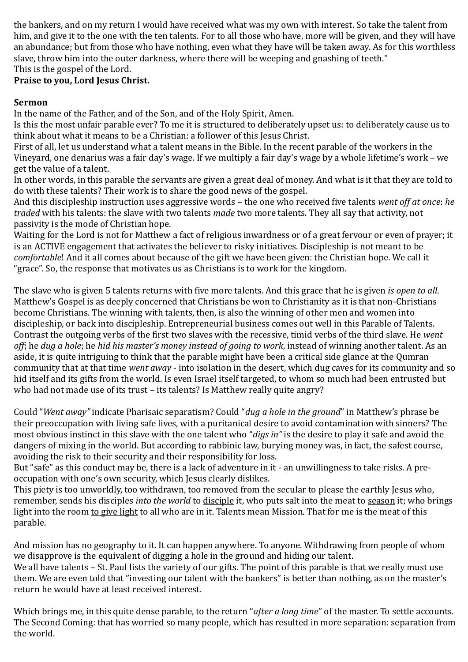the bankers, and on my return I would have received what was my own with interest. So take the talent from him, and give it to the one with the ten talents. For to all those who have, more will be given, and they will have an abundance; but from those who have nothing, even what they have will be taken away. As for this worthless slave, throw him into the outer darkness, where there will be weeping and gnashing of teeth." This is the gospel of the Lord.

# **Praise to you, Lord Jesus Christ.**

## **Sermon**

In the name of the Father, and of the Son, and of the Holy Spirit, Amen.

Is this the most unfair parable ever? To me it is structured to deliberately upset us: to deliberately cause us to think about what it means to be a Christian: a follower of this Jesus Christ.

First of all, let us understand what a talent means in the Bible. In the recent parable of the workers in the Vineyard, one denarius was a fair day's wage. If we multiply a fair day's wage by a whole lifetime's work – we get the value of a talent.

In other words, in this parable the servants are given a great deal of money. And what is it that they are told to do with these talents? Their work is to share the good news of the gospel.

And this discipleship instruction uses aggressive words – the one who received five talents *went off at once*: *he traded* with his talents: the slave with two talents *made* two more talents. They all say that activity, not passivity is the mode of Christian hope.

Waiting for the Lord is not for Matthew a fact of religious inwardness or of a great fervour or even of prayer; it is an ACTIVE engagement that activates the believer to risky initiatives. Discipleship is not meant to be *comfortable*! And it all comes about because of the gift we have been given: the Christian hope. We call it "grace". So, the response that motivates us as Christians is to work for the kingdom.

The slave who is given 5 talents returns with five more talents. And this grace that he is given *is open to all*. Matthew's Gospel is as deeply concerned that Christians be won to Christianity as it is that non-Christians become Christians. The winning with talents, then, is also the winning of other men and women into discipleship, or back into discipleship. Entrepreneurial business comes out well in this Parable of Talents. Contrast the outgoing verbs of the first two slaves with the recessive, timid verbs of the third slave. He *went off*; he *dug a hole*; he *hid his master's money instead of going to work*, instead of winning another talent. As an aside, it is quite intriguing to think that the parable might have been a critical side glance at the Qumran community that at that time *went away* - into isolation in the desert, which dug caves for its community and so hid itself and its gifts from the world. Is even Israel itself targeted, to whom so much had been entrusted but who had not made use of its trust – its talents? Is Matthew really quite angry?

Could "*Went away"* indicate Pharisaic separatism? Could "*dug a hole in the ground*" in Matthew's phrase be their preoccupation with living safe lives, with a puritanical desire to avoid contamination with sinners? The most obvious instinct in this slave with the one talent who "*digs in"* is the desire to play it safe and avoid the dangers of mixing in the world. But according to rabbinic law, burying money was, in fact, the safest course, avoiding the risk to their security and their responsibility for loss.

But "safe" as this conduct may be, there is a lack of adventure in it - an unwillingness to take risks. A preoccupation with one's own security, which Jesus clearly dislikes.

This piety is too unworldly, too withdrawn, too removed from the secular to please the earthly Jesus who, remember, sends his disciples *into the world* to disciple it, who puts salt into the meat to season it; who brings light into the room to give light to all who are in it. Talents mean Mission. That for me is the meat of this parable.

And mission has no geography to it. It can happen anywhere. To anyone. Withdrawing from people of whom we disapprove is the equivalent of digging a hole in the ground and hiding our talent.

We all have talents – St. Paul lists the variety of our gifts. The point of this parable is that we really must use them. We are even told that "investing our talent with the bankers" is better than nothing, as on the master's return he would have at least received interest.

Which brings me, in this quite dense parable, to the return "*after a long time*" of the master. To settle accounts. The Second Coming: that has worried so many people, which has resulted in more separation: separation from the world.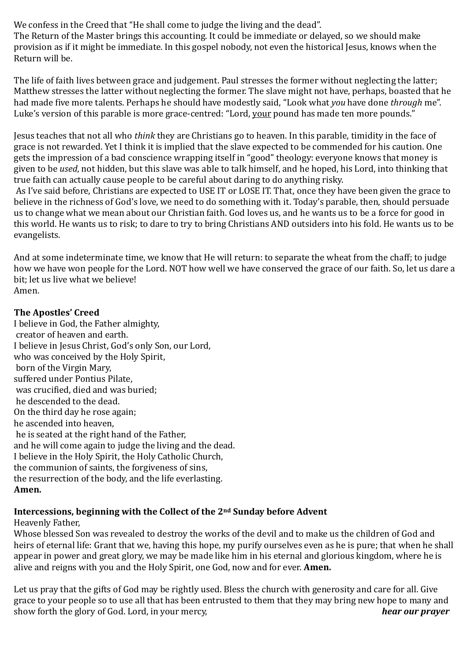We confess in the Creed that "He shall come to judge the living and the dead".

The Return of the Master brings this accounting. It could be immediate or delayed, so we should make provision as if it might be immediate. In this gospel nobody, not even the historical Jesus, knows when the Return will be.

The life of faith lives between grace and judgement. Paul stresses the former without neglecting the latter; Matthew stresses the latter without neglecting the former. The slave might not have, perhaps, boasted that he had made five more talents. Perhaps he should have modestly said, "Look what *you* have done *through* me". Luke's version of this parable is more grace-centred: "Lord, your pound has made ten more pounds."

Jesus teaches that not all who *think* they are Christians go to heaven. In this parable, timidity in the face of grace is not rewarded. Yet I think it is implied that the slave expected to be commended for his caution. One gets the impression of a bad conscience wrapping itself in "good" theology: everyone knows that money is given to be *used*, not hidden, but this slave was able to talk himself, and he hoped, his Lord, into thinking that true faith can actually cause people to be careful about daring to do anything risky.

As I've said before, Christians are expected to USE IT or LOSE IT. That, once they have been given the grace to believe in the richness of God's love, we need to do something with it. Today's parable, then, should persuade us to change what we mean about our Christian faith. God loves us, and he wants us to be a force for good in this world. He wants us to risk; to dare to try to bring Christians AND outsiders into his fold. He wants us to be evangelists.

And at some indeterminate time, we know that He will return: to separate the wheat from the chaff; to judge how we have won people for the Lord. NOT how well we have conserved the grace of our faith. So, let us dare a bit; let us live what we believe! Amen.

## **The Apostles' Creed**

I believe in God, the Father almighty, creator of heaven and earth. I believe in Jesus Christ, God's only Son, our Lord, who was conceived by the Holy Spirit, born of the Virgin Mary, suffered under Pontius Pilate, was crucified, died and was buried; he descended to the dead. On the third day he rose again; he ascended into heaven, he is seated at the right hand of the Father, and he will come again to judge the living and the dead. I believe in the Holy Spirit, the Holy Catholic Church, the communion of saints, the forgiveness of sins, the resurrection of the body, and the life everlasting. **Amen.** 

## **Intercessions, beginning with the Collect of the 2nd Sunday before Advent**

#### Heavenly Father,

Whose blessed Son was revealed to destroy the works of the devil and to make us the children of God and heirs of eternal life: Grant that we, having this hope, my purify ourselves even as he is pure; that when he shall appear in power and great glory, we may be made like him in his eternal and glorious kingdom, where he is alive and reigns with you and the Holy Spirit, one God, now and for ever. **Amen.**

Let us pray that the gifts of God may be rightly used. Bless the church with generosity and care for all. Give grace to your people so to use all that has been entrusted to them that they may bring new hope to many and show forth the glory of God. Lord, in your mercy, *hear our prayer*